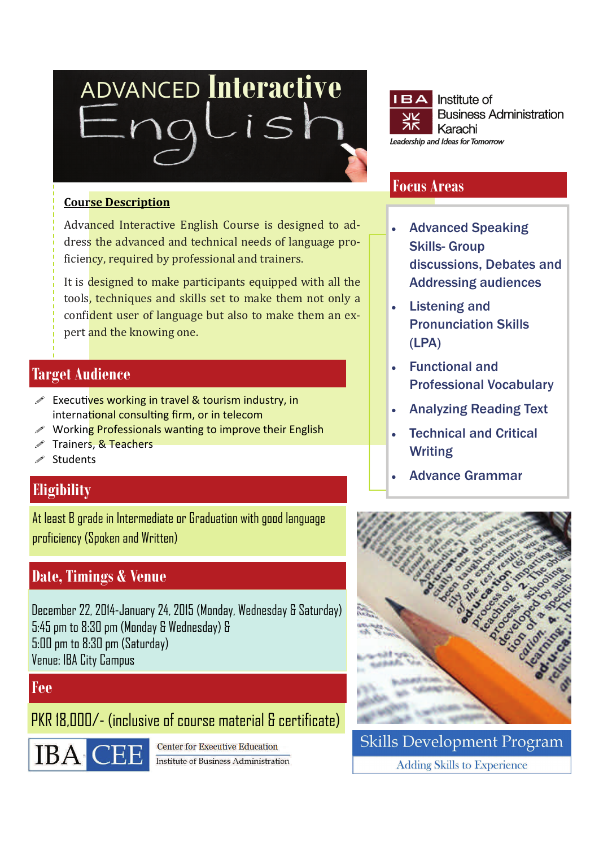# ADVANCED **Interactive**   $i<sup>2</sup>$

#### **Course Description**

Advanced Interactive English Course is designed to address the advanced and technical needs of language proficiency, required by professional and trainers.

It is designed to make participants equipped with all the tools, techniques and skills set to make them not only a confident user of language but also to make them an expert and the knowing one.

## **Target Audience**

- $\mathscr S$  Executives working in travel & tourism industry, in international consulting firm, or in telecom
- Working Professionals wanting to improve their English
- Trainers, & Teachers
- **Students**

# **Eligibility**

At least B grade in Intermediate or Graduation with good language proficiency (Spoken and Written)

# **Date, Timings & Venue**

December 22, 2014-January 24, 2015 (Monday, Wednesday & Saturday) 5:45 pm to 8:30 pm (Monday & Wednesday) & 5:00 pm to 8:30 pm (Saturday) Venue: IBA City Campus

#### **Fee**

PKR 18,000/- (inclusive of course material & certificate)



Center for Executive Education **Institute of Business Administration** 



## **Focus Areas**

- **Advanced Speaking** Skills- Group discussions, Debates and Addressing audiences
- Listening and Pronunciation Skills (LPA)
- Functional and Professional Vocabulary
- Analyzing Reading Text
- Technical and Critical Writing
- Advance Grammar



**Skills Development Program Adding Skills to Experience**